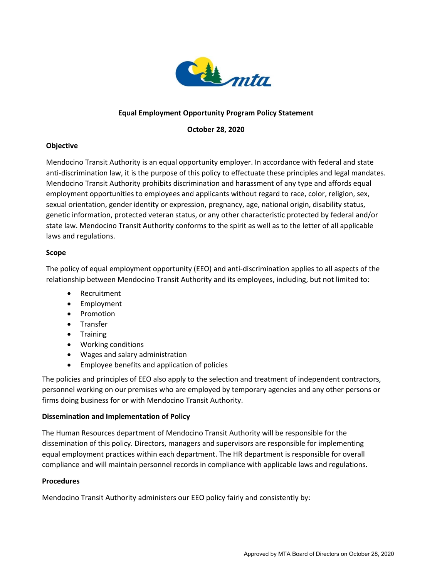

## **Equal Employment Opportunity Program Policy Statement**

**October 28, 2020** 

### **Objective**

Mendocino Transit Authority is an equal opportunity employer. In accordance with federal and state anti-discrimination law, it is the purpose of this policy to effectuate these principles and legal mandates. Mendocino Transit Authority prohibits discrimination and harassment of any type and affords equal employment opportunities to employees and applicants without regard to race, color, religion, sex, sexual orientation, gender identity or expression, pregnancy, age, national origin, disability status, genetic information, protected veteran status, or any other characteristic protected by federal and/or state law. Mendocino Transit Authority conforms to the spirit as well as to the letter of all applicable laws and regulations.

### **Scope**

The policy of equal employment opportunity (EEO) and anti-discrimination applies to all aspects of the relationship between Mendocino Transit Authority and its employees, including, but not limited to:

- Recruitment
- Employment
- Promotion
- Transfer
- Training
- Working conditions
- Wages and salary administration
- Employee benefits and application of policies

The policies and principles of EEO also apply to the selection and treatment of independent contractors, personnel working on our premises who are employed by temporary agencies and any other persons or firms doing business for or with Mendocino Transit Authority.

### **Dissemination and Implementation of Policy**

The Human Resources department of Mendocino Transit Authority will be responsible for the dissemination of this policy. Directors, managers and supervisors are responsible for implementing equal employment practices within each department. The HR department is responsible for overall compliance and will maintain personnel records in compliance with applicable laws and regulations.

### **Procedures**

Mendocino Transit Authority administers our EEO policy fairly and consistently by: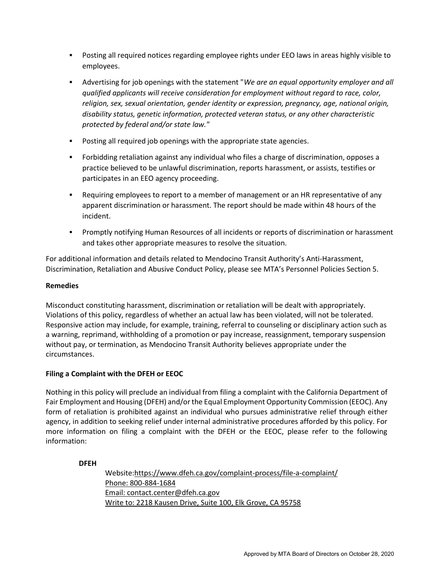- Posting all required notices regarding employee rights under EEO laws in areas highly visible to employees.
- Advertising for job openings with the statement "*We are an equal opportunity employer and all qualified applicants will receive consideration for employment without regard to race, color, religion, sex, sexual orientation, gender identity or expression, pregnancy, age, national origin, disability status, genetic information, protected veteran status, or any other characteristic protected by federal and/or state law."*
- Posting all required job openings with the appropriate state agencies.
- Forbidding retaliation against any individual who files a charge of discrimination, opposes a practice believed to be unlawful discrimination, reports harassment, or assists, testifies or participates in an EEO agency proceeding.
- Requiring employees to report to a member of management or an HR representative of any apparent discrimination or harassment. The report should be made within 48 hours of the incident.
- **•** Promptly notifying Human Resources of all incidents or reports of discrimination or harassment and takes other appropriate measures to resolve the situation.

For additional information and details related to Mendocino Transit Authority's Anti-Harassment, Discrimination, Retaliation and Abusive Conduct Policy, please see MTA's Personnel Policies Section 5.

#### **Remedies**

Misconduct constituting harassment, discrimination or retaliation will be dealt with appropriately. Violations of this policy, regardless of whether an actual law has been violated, will not be tolerated. Responsive action may include, for example, training, referral to counseling or disciplinary action such as a warning, reprimand, withholding of a promotion or pay increase, reassignment, temporary suspension without pay, or termination, as Mendocino Transit Authority believes appropriate under the circumstances.

### **Filing a Complaint with the DFEH or EEOC**

Nothing in this policy will preclude an individual from filing a complaint with the California Department of Fair Employment and Housing (DFEH) and/or the Equal Employment Opportunity Commission (EEOC). Any form of retaliation is prohibited against an individual who pursues administrative relief through either agency, in addition to seeking relief under internal administrative procedures afforded by this policy. For more information on filing a complaint with the DFEH or the EEOC, please refer to the following information:

#### **DFEH**

Website[:https://www.dfeh.ca.gov/complaint-process/file-a-complaint/](https://www.dfeh.ca.gov/complaint-process/file-a-complaint/) Phone: 800-884-1684 Email: [contact.center@dfeh.ca.gov](mailto:contact.center@dfeh.ca.gov) Write to: 2218 Kausen Drive, Suite 100, Elk Grove, CA 95758